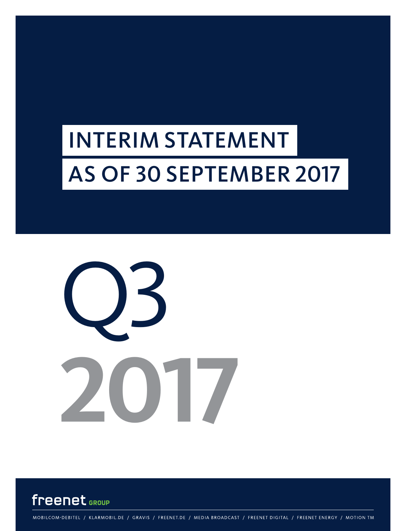# INTERIM STATEMENT AS OF 30 SEPTEMBER 2017





MOBILCOM-DEBITEL / KLARMOBIL.DE / GRAVIS / FREENET.DE / MEDIA BROADCAST / FREENET DIGITAL / FREENET ENERGY / MOTION TM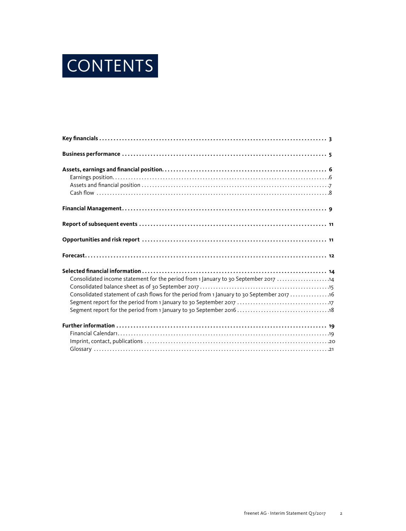

| Consolidated income statement for the period from 1 January to 30 September 2017 14         |  |
|---------------------------------------------------------------------------------------------|--|
| Consolidated statement of cash flows for the period from 1 January to 30 September 2017  16 |  |
|                                                                                             |  |
|                                                                                             |  |
|                                                                                             |  |
|                                                                                             |  |
|                                                                                             |  |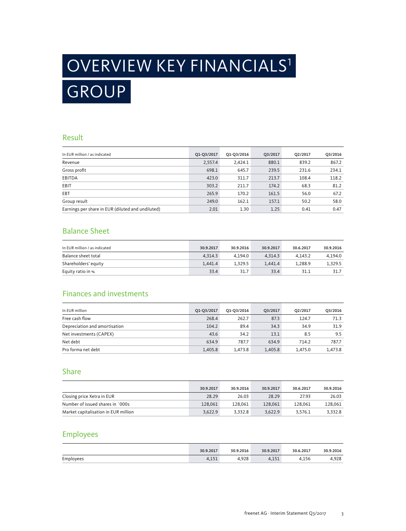# GROUP OVERVIEW KEY FINANCIALS1

### Result

| In EUR million / as indicated                     | Q1-Q3/2017 | Q1-Q3/2016 | Q3/2017 | Q2/2017 | Q3/2016 |
|---------------------------------------------------|------------|------------|---------|---------|---------|
| Revenue                                           | 2,557.4    | 2,424.1    | 880.1   | 839.2   | 867.2   |
| Gross profit                                      | 698.1      | 645.7      | 239.5   | 231.6   | 234.1   |
| EBITDA                                            | 423.0      | 311.7      | 213.7   | 108.4   | 118.2   |
| EBIT                                              | 303.2      | 211.7      | 174.2   | 68.3    | 81.2    |
| EBT                                               | 265.9      | 170.2      | 161.5   | 56.0    | 67.2    |
| Group result                                      | 249.0      | 162.1      | 157.1   | 50.2    | 58.0    |
| Earnings per share in EUR (diluted and undiluted) | 2.01       | 1.30       | 1.25    | 0.41    | 0.47    |

### Balance Sheet

| In EUR million / as indicated | 30.9.2017 | 30.9.2016 | 30.9.2017 | 30.6.2017 | 30.9.2016 |
|-------------------------------|-----------|-----------|-----------|-----------|-----------|
| Balance sheet total           | 4.314.3   | 4.194.0   | 4.314.3   | 4.143.2   | 4.194.0   |
| Shareholders' equity          | 1.441.4   | 1.329.5   | 1.441.4   | 1.288.9   | 1,329.5   |
| Equity ratio in %             | 33.4      | 31.7      | 33.4      | 31.1      | 31.7      |

### Finances and investments

| In EUR million                | Q1-Q3/2017 | Q1-Q3/2016 | O3/2017 | O2/2017 | Q3/2016 |
|-------------------------------|------------|------------|---------|---------|---------|
| Free cash flow                | 268.4      | 262.7      | 87.3    | 124.7   | 71.3    |
| Depreciation and amortisation | 104.2      | 89.4       | 34.3    | 34.9    | 31.9    |
| Net investments (CAPEX)       | 43.6       | 34.2       | 13.1    | 8.5     | 9.5     |
| Net debt                      | 634.9      | 787.7      | 634.9   | 714.2   | 787.7   |
| Pro forma net debt            | 1,405.8    | 1.473.8    | 1.405.8 | 1.475.0 | 1.473.8 |

### Share

|                                      | 30.9.2017 | 30.9.2016 | 30.9.2017 | 30.6.2017 | 30.9.2016 |
|--------------------------------------|-----------|-----------|-----------|-----------|-----------|
| Closing price Xetra in EUR           | 28.29     | 26.03     | 28.29     | 27.93     | 26.03     |
| Number of issued shares in `000s     | 128,061   | 128.061   | 128,061   | 128,061   | 128.061   |
| Market capitalisation in EUR million | 3.622.9   | 3.332.8   | 3.622.9   | 3.576.1   | 3.332.8   |

### Employees

|           | 30.9.2017                | 30.9.2016    | 30.9.2017 | 30.6.2017 | 30.9.2016 |
|-----------|--------------------------|--------------|-----------|-----------|-----------|
| Employees | 1 <sup>2</sup><br>т.⊥  ⊥ | 000<br>4,9ZO | 4,15      | 4.156     | 4.928     |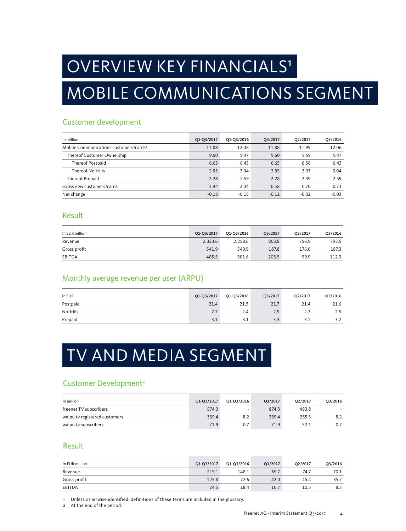## OVERVIEW KEY FINANCIALS<sup>1</sup>

## MOBILE COMMUNICATIONS SEGMENT

## Customer development

| In million                                         | Q1-Q3/2017 | Q1-Q3/2016 | Q3/2017 | Q2/2017 | Q3/2016 |
|----------------------------------------------------|------------|------------|---------|---------|---------|
| Mobile Communications customers/cards <sup>2</sup> | 11.88      | 12.06      | 11.88   | 11.99   | 12.06   |
| Thereof Customer Ownership                         | 9.60       | 9.47       | 9.60    | 9.59    | 9.47    |
| Thereof Postpaid                                   | 6.65       | 6.43       | 6.65    | 6.56    | 6.43    |
| Thereof No-frills                                  | 2.95       | 3.04       | 2.95    | 3.03    | 3.04    |
| <b>Thereof Prepaid</b>                             | 2.28       | 2.59       | 2.28    | 2.39    | 2.59    |
| Gross new customers/cards                          | 1.94       | 2.04       | 0.58    | 0.70    | 0.73    |
| Net change                                         | $-0.18$    | $-0.18$    | $-0.11$ | $-0.02$ | $-0.03$ |

### Result

| In EUR million | Q1-Q3/2017 | Q1-Q3/2016 | Q3/2017 | O <sub>2</sub> /2017 | Q3/2016 |
|----------------|------------|------------|---------|----------------------|---------|
| Revenue        | 2.323.6    | 2.258.6    | 803.8   | 756.9                | 793.5   |
| Gross profit   | 541.9      | 540.9      | 187.8   | 176.0                | 187.3   |
| EBITDA         | 405.5      | 301.6      | 205.5   | 99.9                 | 112.3   |

### Monthly average revenue per user (ARPU)

| In EUR    | Q1-Q3/2017 | Q1-Q3/2016 | Q3/2017 | Q2/2017 | Q3/2016 |
|-----------|------------|------------|---------|---------|---------|
| Postpaid  | 21.4       | 21.5       | 21.7    | 21.4    | 21.6    |
| No-frills | 2.7        | 2.4        | 2.9     |         | ر .     |
| Prepaid   | 3.1        | 3.1        | 3.3     |         | 3.2     |

## TV AND MEDIA SEGMENT

### Customer Development<sup>2</sup>

| In million                    | Q1-Q3/2017 | 01-03/2016 | O3/2017 | O <sub>2</sub> /2017 | 03/2016 |
|-------------------------------|------------|------------|---------|----------------------|---------|
| freenet TV subscribers        | 874.3      |            | 874.3   | 483.8                |         |
| waipu.tv registered customers | 339.4      | 8.2        | 339.4   | 255.3                | 8.2     |
| waipu.tv subscribers          | 71.9       | 0.7        | 71.9    | 52.1                 |         |

### Result

| In EUR million | Q1-Q3/2017 | Q1-Q3/2016 | Q3/2017 | Q2/2017 | Q3/2016 |
|----------------|------------|------------|---------|---------|---------|
| Revenue        | 219.1      | 148.1      | 69.7    | 74.7    | 70.1    |
| Gross profit   | 125.8      | 72.6       | 42.0    | 45.4    | 35.7    |
| EBITDA         | 24.5       | 18.4       | 10.7    | 10.5    | 8.3     |

1 Unless otherwise identified, definitions of these terms are included in the glossary.

2 At the end of the period.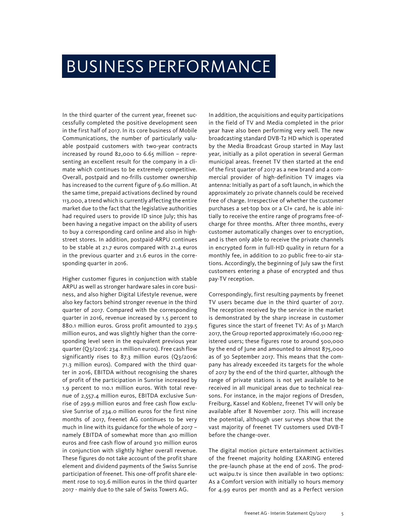## BUSINESS PERFORMANCE

In the third quarter of the current year, freenet successfully completed the positive development seen in the first half of 2017. In its core business of Mobile Communications, the number of particularly valuable postpaid customers with two-year contracts increased by round 82,000 to 6.65 million – representing an excellent result for the company in a climate which continues to be extremely competitive. Overall, postpaid and no-frills customer ownership has increased to the current figure of 9.60 million. At the same time, prepaid activations declined by round 113,000, a trend which is currently affecting the entire market due to the fact that the legislative authorities had required users to provide ID since July; this has been having a negative impact on the ability of users to buy a corresponding card online and also in highstreet stores. In addition, postpaid-ARPU continues to be stable at 21.7 euros compared with 21.4 euros in the previous quarter and 21.6 euros in the corresponding quarter in 2016.

Higher customer figures in conjunction with stable ARPU as well as stronger hardware sales in core business, and also higher Digital Lifestyle revenue, were also key factors behind stronger revenue in the third quarter of 2017. Compared with the corresponding quarter in 2016, revenue increased by 1.5 percent to 880.1 million euros. Gross profit amounted to 239.5 million euros, and was slightly higher than the corresponding level seen in the equivalent previous year quarter (Q3/2016: 234.1 million euros). Free cash flow significantly rises to 87.3 million euros (Q3/2016: 71.3 million euros). Compared with the third quarter in 2016, EBITDA without recognising the shares of profit of the participation in Sunrise increased by 1.9 percent to 110.1 million euros. With total revenue of 2,557.4 million euros, EBITDA exclusive Sunrise of 299.9 million euros and free cash flow exclusive Sunrise of 234.0 million euros for the first nine months of 2017, freenet AG continues to be very much in line with its guidance for the whole of 2017 – namely EBITDA of somewhat more than 410 million euros and free cash flow of around 310 million euros in conjunction with slightly higher overall revenue. These figures do not take account of the profit share element and dividend payments of the Swiss Sunrise participation of freenet. This one-off profit share element rose to 103.6 million euros in the third quarter 2017 - mainly due to the sale of Swiss Towers AG.

In addition, the acquisitions and equity participations in the field of TV and Media completed in the prior year have also been performing very well. The new broadcasting standard DVB-T2 HD which is operated by the Media Broadcast Group started in May last year, initially as a pilot operation in several German municipal areas. freenet TV then started at the end of the first quarter of 2017 as a new brand and a commercial provider of high-definition TV images via antenna: Initially as part of a soft launch, in which the approximately 20 private channels could be received free of charge. Irrespective of whether the customer purchases a set-top box or a CI+ card, he is able initially to receive the entire range of programs free-ofcharge for three months. After three months, every customer automatically changes over to encryption, and is then only able to receive the private channels in encrypted form in full-HD quality in return for a monthly fee, in addition to 20 public free-to-air stations. Accordingly, the beginning of July saw the first customers entering a phase of encrypted and thus pay-TV reception.

Correspondingly, first resulting payments by freenet TV users became due in the third quarter of 2017. The reception received by the service in the market is demonstrated by the sharp increase in customer figures since the start of freenet TV: As of 31 March 2017, the Group reported approximately 160,000 registered users; these figures rose to around 500,000 by the end of June and amounted to almost 875,000 as of 30 September 2017. This means that the company has already exceeded its targets for the whole of 2017 by the end of the third quarter, although the range of private stations is not yet available to be received in all municipal areas due to technical reasons. For instance, in the major regions of Dresden, Freiburg, Kassel and Koblenz, freenet TV will only be available after 8 November 2017. This will increase the potential, although user surveys show that the vast majority of freenet TV customers used DVB-T before the change-over.

The digital motion picture entertainment activities of the freenet majority holding EXARING entered the pre-launch phase at the end of 2016. The product waipu.tv is since then available in two options: As a Comfort version with initially 10 hours memory for 4.99 euros per month and as a Perfect version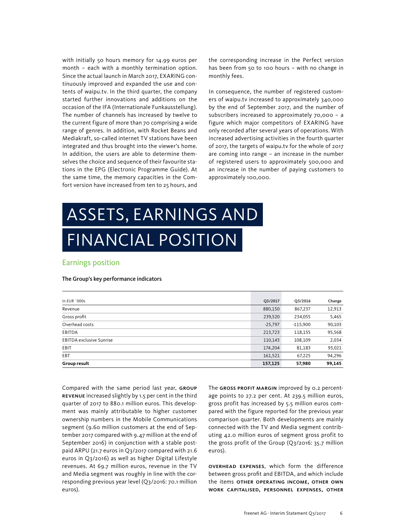with initially 50 hours memory for 14.99 euros per month – each with a monthly termination option. Since the actual launch in March 2017, EXARING continuously improved and expanded the use and contents of waipu.tv. In the third quarter, the company started further innovations and additions on the occasion of the IFA (Internationale Funkausstellung). The number of channels has increased by twelve to the current figure of more than 70 comprising a wide range of genres. In addition, with Rocket Beans and Mediakraft, so-called internet TV stations have been integrated and thus brought into the viewer's home. In addition, the users are able to determine themselves the choice and sequence of their favourite stations in the EPG (Electronic Programme Guide). At the same time, the memory capacities in the Comfort version have increased from ten to 25 hours, and

the corresponding increase in the Perfect version has been from 50 to 100 hours – with no change in monthly fees.

In consequence, the number of registered customers of waipu.tv increased to approximately 340,000 by the end of September 2017, and the number of subscribers increased to approximately 70,000 – a figure which major competitors of EXARING have only recorded after several years of operations. With increased advertising activities in the fourth quarter of 2017, the targets of waipu.tv for the whole of 2017 are coming into range – an increase in the number of registered users to approximately 500,000 and an increase in the number of paying customers to approximately 100,000.

# ASSETS, EARNINGS AND FINANCIAL POSITION

### Earnings position

#### The Group's key performance indicators

| In EUR `000s                    | Q3/2017   | Q3/2016    | Change |
|---------------------------------|-----------|------------|--------|
| Revenue                         | 880,150   | 867,237    | 12,913 |
| Gross profit                    | 239,520   | 234,055    | 5,465  |
| Overhead costs                  | $-25,797$ | $-115,900$ | 90,103 |
| <b>EBITDA</b>                   | 213,723   | 118,155    | 95,568 |
| <b>EBITDA</b> exclusive Sunrise | 110,143   | 108,109    | 2,034  |
| EBIT                            | 174,204   | 81,183     | 93,021 |
| EBT                             | 161,521   | 67,225     | 94,296 |
| Group result                    | 157,125   | 57,980     | 99,145 |

Compared with the same period last year, GROUP revenue increased slightly by 1.5 per cent in the third quarter of 2017 to 880.1 million euros. This development was mainly attributable to higher customer ownership numbers in the Mobile Communications segment (9.60 million customers at the end of September 2017 compared with 9.47 million at the end of September 2016) in conjunction with a stable postpaid ARPU (21.7 euros in Q3/2017 compared with 21.6 euros in Q3/2016) as well as higher Digital Lifestyle revenues. At 69.7 million euros, revenue in the TV and Media segment was roughly in line with the corresponding previous year level (Q3/2016: 70.1 million euros).

The GROSS PROFIT MARGIN improved by 0.2 percentage points to 27.2 per cent. At 239.5 million euros, gross profit has increased by 5.5 million euros compared with the figure reported for the previous year comparison quarter. Both developments are mainly connected with the TV and Media segment contributing 42.0 million euros of segment gross profit to the gross profit of the Group (Q3/2016: 35.7 million euros).

Overhead expenses, which form the difference between gross profit and EBITDA, and which include the items OTHER OPERATING INCOME, OTHER OWN work capitalised, personnel expenses, other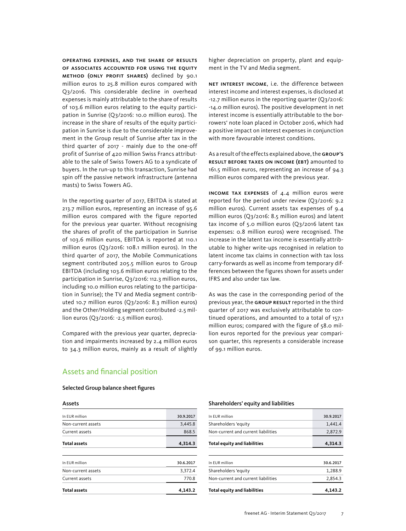operating expenses, and the share of results of associates accounted for using the equity method (only profit shares) declined by 90.1 million euros to 25.8 million euros compared with Q3/2016. This considerable decline in overhead expenses is mainly attributable to the share of results of 103.6 million euros relating to the equity participation in Sunrise (Q3/2016: 10.0 million euros). The increase in the share of results of the equity participation in Sunrise is due to the considerable improvement in the Group result of Sunrise after tax in the third quarter of 2017 - mainly due to the one-off profit of Sunrise of 420 million Swiss Francs attributable to the sale of Swiss Towers AG to a syndicate of buyers. In the run-up to this transaction, Sunrise had spin off the passive network infrastructure (antenna masts) to Swiss Towers AG.

In the reporting quarter of 2017, EBITDA is stated at 213.7 million euros, representing an increase of 95.6 million euros compared with the figure reported for the previous year quarter. Without recognising the shares of profit of the participation in Sunrise of 103.6 million euros, EBITDA is reported at 110.1 million euros (Q3/2016: 108.1 million euros). In the third quarter of 2017, the Mobile Communications segment contributed 205.5 million euros to Group EBITDA (including 103.6 million euros relating to the participation in Sunrise, Q3/2016: 112.3 million euros, including 10.0 million euros relating to the participation in Sunrise); the TV and Media segment contributed 10.7 million euros (Q3/2016: 8.3 million euros) and the Other/Holding segment contributed -2.5 million euros (Q3/2016: -2.5 million euros).

Compared with the previous year quarter, depreciation and impairments increased by 2.4 million euros to 34.3 million euros, mainly as a result of slightly higher depreciation on property, plant and equipment in the TV and Media segment.

Net interest income, i.e. the difference between interest income and interest expenses, is disclosed at -12.7 million euros in the reporting quarter (Q3/2016: -14.0 million euros). The positive development in net interest income is essentially attributable to the borrowers' note loan placed in October 2016, which had a positive impact on interest expenses in conjunction with more favourable interest conditions.

As a result of the effects explained above, the Group's result before taxes on income (EBT) amounted to 161.5 million euros, representing an increase of 94.3 million euros compared with the previous year.

Income tax expenses of 4.4 million euros were reported for the period under review (Q3/2016: 9.2 million euros). Current assets tax expenses of 9.4 million euros (Q3/2016: 8.5 million euros) and latent tax income of 5.0 million euros (Q3/2016 latent tax expenses: 0.8 million euros) were recognised. The increase in the latent tax income is essentially attributable to higher write-ups recognised in relation to latent income tax claims in connection with tax loss carry-forwards as well as income from temporary differences between the figures shown for assets under IFRS and also under tax law.

As was the case in the corresponding period of the previous year, the GROUP RESULT reported in the third quarter of 2017 was exclusively attributable to continued operations, and amounted to a total of 157.1 million euros; compared with the figure of 58.0 million euros reported for the previous year comparison quarter, this represents a considerable increase of 99.1 million euros.

### Assets and financial position

#### Selected Group balance sheet figures

Assets

| A33563              |           |
|---------------------|-----------|
| In EUR million      | 30.9.2017 |
| Non-current assets  | 3,445.8   |
| Current assets      | 868.5     |
| <b>Total assets</b> | 4,314.3   |
|                     |           |
| In EUR million      | 30.6.2017 |
| Non-current assets  | 3,372.4   |
| Current assets      | 770.8     |
| <b>Total assets</b> | 4,143.2   |
|                     |           |

#### Shareholders' equity and liabilities

| In FUR million                      | 30.9.2017 |
|-------------------------------------|-----------|
| Shareholders 'equity                | 1.441.4   |
| Non-current and current liabilities | 2,872.9   |
| <b>Total equity and liabilities</b> | 4.314.3   |
|                                     |           |
| In FUR million                      | 30.6.2017 |
| Shareholders 'equity                | 1,288.9   |
| Non-current and current liabilities | 2.854.3   |
| <b>Total equity and liabilities</b> | 4,143.2   |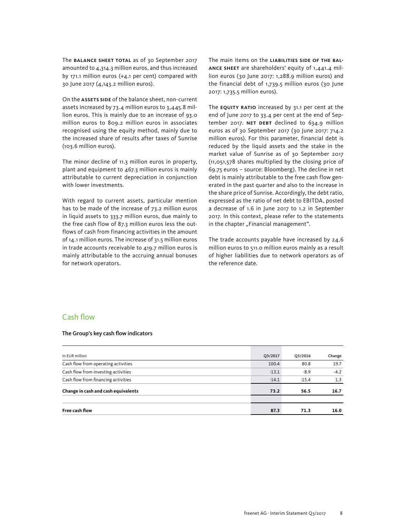The **BALANCE SHEET TOTAL** as of 30 September 2017 amounted to 4,314.3 million euros, and thus increased by 171.1 million euros (+4.1 per cent) compared with 30 June 2017 (4,143.2 million euros).

On the ASSETS SIDE of the balance sheet, non-current assets increased by 73.4 million euros to 3,445.8 million euros. This is mainly due to an increase of 93.0 million euros to 809.2 million euros in associates recognised using the equity method, mainly due to the increased share of results after taxes of Sunrise (103.6 million euros).

The minor decline of 11.3 million euros in property, plant and equipment to 467.3 million euros is mainly attributable to current depreciation in conjunction with lower investments.

With regard to current assets, particular mention has to be made of the increase of 73.2 million euros in liquid assets to 333.7 million euros, due mainly to the free cash flow of 87.3 million euros less the outflows of cash from financing activities in the amount of 14.1 million euros. The increase of 31.5 million euros in trade accounts receivable to 419.7 million euros is mainly attributable to the accruing annual bonuses for network operators.

The main items on the LIABILITIES SIDE OF THE BALance sheet are shareholders' equity of 1,441.4 million euros (30 June 2017: 1,288.9 million euros) and the financial debt of 1,739.5 million euros (30 June 2017: 1,735.5 million euros).

The EQUITY RATIO increased by 31.1 per cent at the end of June 2017 to 33.4 per cent at the end of September 2017. NET DEBT declined to  $634.9$  million euros as of 30 September 2017 (30 June 2017: 714.2 million euros). For this parameter, financial debt is reduced by the liquid assets and the stake in the market value of Sunrise as of 30 September 2017 (11,051,578 shares multiplied by the closing price of 69.75 euros – source: Bloomberg). The decline in net debt is mainly attributable to the free cash flow generated in the past quarter and also to the increase in the share price of Sunrise. Accordingly, the debt ratio, expressed as the ratio of net debt to EBITDA, posted a decrease of 1.6 in June 2017 to 1.2 in September 2017. In this context, please refer to the statements in the chapter "Financial management".

The trade accounts payable have increased by 24.6 million euros to 511.0 million euros mainly as a result of higher liabilities due to network operators as of the reference date.

### Cash flow

#### The Group's key cash flow indicators

| In EUR million                      | Q3/2017 | Q3/2016 | Change |
|-------------------------------------|---------|---------|--------|
| Cash flow from operating activities | 100.4   | 80.8    | 19.7   |
| Cash flow from investing activities | $-13.1$ | $-8.9$  | $-4.2$ |
| Cash flow from financing activities | $-14.1$ | $-15.4$ | 1.3    |
| Change in cash and cash equivalents | 73.2    | 56.5    | 16.7   |
|                                     |         |         |        |
| Free cash flow                      | 87.3    | 71.3    | 16.0   |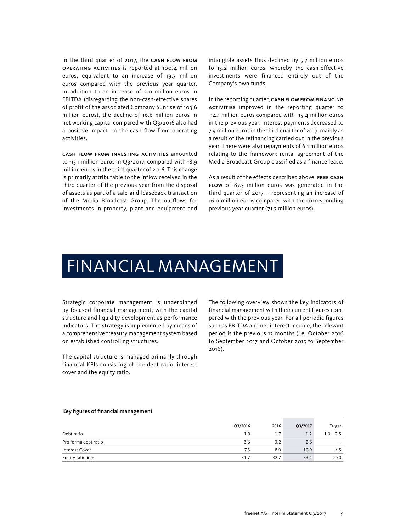In the third quarter of 2017, the CASH FLOW FROM operating activities is reported at 100.4 million euros, equivalent to an increase of 19.7 million euros compared with the previous year quarter. In addition to an increase of 2.0 million euros in EBITDA (disregarding the non-cash-effective shares of profit of the associated Company Sunrise of 103.6 million euros), the decline of 16.6 million euros in net working capital compared with Q3/2016 also had a positive impact on the cash flow from operating activities.

Cash flow from investing activities amounted to -13.1 million euros in Q3/2017, compared with -8.9 million euros in the third quarter of 2016. This change is primarily attributable to the inflow received in the third quarter of the previous year from the disposal of assets as part of a sale-and-leaseback transaction of the Media Broadcast Group. The outflows for investments in property, plant and equipment and

intangible assets thus declined by 5.7 million euros to 13.2 million euros, whereby the cash-effective investments were financed entirely out of the Company's own funds.

In the reporting quarter, CASH FLOW FROM FINANCING activities improved in the reporting quarter to -14.1 million euros compared with -15.4 million euros in the previous year. Interest payments decreased to 7.9 million euros in the third quarter of 2017, mainly as a result of the refinancing carried out in the previous year. There were also repayments of 6.1 million euros relating to the framework rental agreement of the Media Broadcast Group classified as a finance lease.

As a result of the effects described above, free cash flow of 87.3 million euros was generated in the third quarter of 2017 – representing an increase of 16.0 million euros compared with the corresponding previous year quarter (71.3 million euros).

## FINANCIAL MANAGEMENT

Strategic corporate management is underpinned by focused financial management, with the capital structure and liquidity development as performance indicators. The strategy is implemented by means of a comprehensive treasury management system based on established controlling structures.

The capital structure is managed primarily through financial KPIs consisting of the debt ratio, interest cover and the equity ratio.

The following overview shows the key indicators of financial management with their current figures compared with the previous year. For all periodic figures such as EBITDA and net interest income, the relevant period is the previous 12 months (i.e. October 2016 to September 2017 and October 2015 to September 2016).

#### Key figures of financial management

|                      | Q3/2016 | 2016 | Q3/2017 | Target                   |
|----------------------|---------|------|---------|--------------------------|
| Debt ratio           | 1.9     | 1.7  | 1.2     | $1.0 - 2.5$              |
| Pro forma debt ratio | 3.6     | 3.2  | 2.6     | $\overline{\phantom{a}}$ |
| Interest Cover       | 7.3     | 8.0  | 10.9    | > 5                      |
| Equity ratio in %    | 31.7    | 32.7 | 33.4    | > 50                     |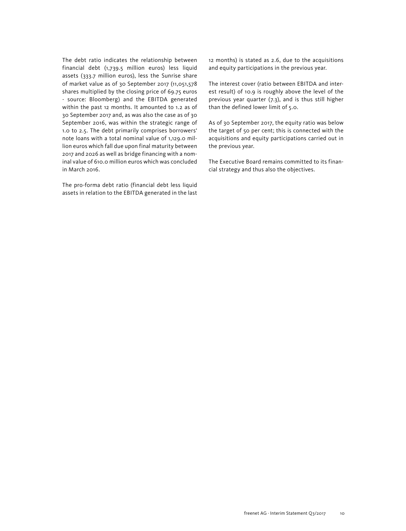The debt ratio indicates the relationship between financial debt (1,739.5 million euros) less liquid assets (333.7 million euros), less the Sunrise share of market value as of 30 September 2017 (11,051,578 shares multiplied by the closing price of 69.75 euros - source: Bloomberg) and the EBITDA generated within the past 12 months. It amounted to 1.2 as of 30 September 2017 and, as was also the case as of 30 September 2016, was within the strategic range of 1.0 to 2.5. The debt primarily comprises borrowers' note loans with a total nominal value of 1,129.0 million euros which fall due upon final maturity between 2017 and 2026 as well as bridge financing with a nominal value of 610.0 million euros which was concluded in March 2016.

The pro-forma debt ratio (financial debt less liquid assets in relation to the EBITDA generated in the last 12 months) is stated as 2.6, due to the acquisitions and equity participations in the previous year.

The interest cover (ratio between EBITDA and interest result) of 10.9 is roughly above the level of the previous year quarter (7.3), and is thus still higher than the defined lower limit of 5.0.

As of 30 September 2017, the equity ratio was below the target of 50 per cent; this is connected with the acquisitions and equity participations carried out in the previous year.

The Executive Board remains committed to its financial strategy and thus also the objectives.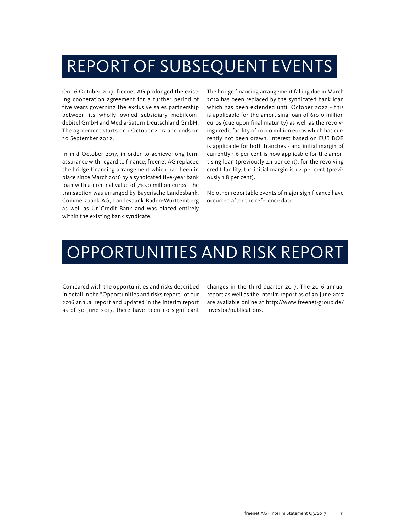## REPORT OF SUBSEQUENT EVENTS

On 16 October 2017, freenet AG prolonged the existing cooperation agreement for a further period of five years governing the exclusive sales partnership between its wholly owned subsidiary mobilcomdebitel GmbH and Media-Saturn Deutschland GmbH. The agreement starts on 1 October 2017 and ends on 30 September 2022.

In mid-October 2017, in order to achieve long-term assurance with regard to finance, freenet AG replaced the bridge financing arrangement which had been in place since March 2016 by a syndicated five-year bank loan with a nominal value of 710.0 million euros. The transaction was arranged by Bayerische Landesbank, Commerzbank AG, Landesbank Baden-Württemberg as well as UniCredit Bank and was placed entirely within the existing bank syndicate.

The bridge financing arrangement falling due in March 2019 has been replaced by the syndicated bank loan which has been extended until October 2022 - this is applicable for the amortising loan of 610,0 million euros (due upon final maturity) as well as the revolving credit facility of 100.0 million euros which has currently not been drawn. Interest based on EURIBOR is applicable for both tranches - and initial margin of currently 1.6 per cent is now applicable for the amortising loan (previously 2.1 per cent); for the revolving credit facility, the initial margin is 1.4 per cent (previously 1.8 per cent).

No other reportable events of major significance have occurred after the reference date.

## OPPORTUNITIES AND RISK REPORT

Compared with the opportunities and risks described in detail in the "Opportunities and risks report" of our 2016 annual report and updated in the interim report as of 30 June 2017, there have been no significant

changes in the third quarter 2017. The 2016 annual report as well as the interim report as of 30 June 2017 are available online at http://www.freenet-group.de/ investor/publications.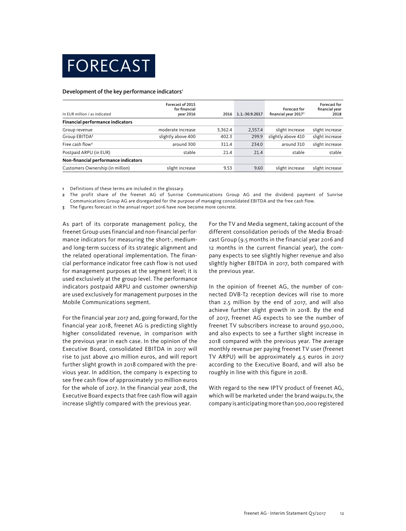

#### Development of the key performance indicators<sup>1</sup>

| In EUR million / as indicated           | Forecast of 2015<br>for financial<br>year 2016 | 2016    | 1.1.-30.9.2017 | <b>Forecast for</b><br>financial year 2017 <sup>3</sup> | Forecast for<br>financial year<br>2018 |
|-----------------------------------------|------------------------------------------------|---------|----------------|---------------------------------------------------------|----------------------------------------|
| <b>Financial performance indicators</b> |                                                |         |                |                                                         |                                        |
| Group revenue                           | moderate increase                              | 3.362.4 | 2.557.4        | slight increase                                         | slight increase                        |
| Group EBITDA <sup>2</sup>               | slightly above 400                             | 402.3   | 299.9          | slightly above 410                                      | slight increase                        |
| Free cash flow <sup>2</sup>             | around 300                                     | 311.4   | 234.0          | around 310                                              | slight increase                        |
| Postpaid ARPU (in EUR)                  | stable                                         | 21.4    | 21.4           | stable                                                  | stable                                 |
| Non-financial performance indicators    |                                                |         |                |                                                         |                                        |
| Customers Ownership (in million)        | slight increase                                | 9.53    | 9.60           | slight increase                                         | slight increase                        |

1 Definitions of these terms are included in the glossary.

2 The profit share of the freenet AG of Sunrise Communications Group AG and the dividend payment of Sunrise Communications Group AG are disregarded for the purpose of managing consolidated EBITDA and the free cash flow.

3 The figures forecast in the annual report 2016 have now become more concrete.

As part of its corporate management policy, the freenet Group uses financial and non-financial performance indicators for measuring the short-, mediumand long-term success of its strategic alignment and the related operational implementation. The financial performance indicator free cash flow is not used for management purposes at the segment level; it is used exclusively at the group level. The performance indicators postpaid ARPU and customer ownership are used exclusively for management purposes in the Mobile Communications segment.

For the financial year 2017 and, going forward, for the financial year 2018, freenet AG is predicting slightly higher consolidated revenue, in comparison with the previous year in each case. In the opinion of the Executive Board, consolidated EBITDA in 2017 will rise to just above 410 million euros, and will report further slight growth in 2018 compared with the previous year. In addition, the company is expecting to see free cash flow of approximately 310 million euros for the whole of 2017. In the financial year 2018, the Executive Board expects that free cash flow will again increase slightly compared with the previous year.

For the TV and Media segment, taking account of the different consolidation periods of the Media Broadcast Group (9.5 months in the financial year 2016 and 12 months in the current financial year), the company expects to see slightly higher revenue and also slightly higher EBITDA in 2017, both compared with the previous year.

In the opinion of freenet AG, the number of connected DVB-T2 reception devices will rise to more than 2.5 million by the end of 2017, and will also achieve further slight growth in 2018. By the end of 2017, freenet AG expects to see the number of freenet TV subscribers increase to around 950,000, and also expects to see a further slight increase in 2018 compared with the previous year. The average monthly revenue per paying freenet TV user (freenet TV ARPU) will be approximately 4.5 euros in 2017 according to the Executive Board, and will also be roughly in line with this figure in 2018.

With regard to the new IPTV product of freenet AG, which will be marketed under the brand waipu.tv, the company is anticipating more than 500,000 registered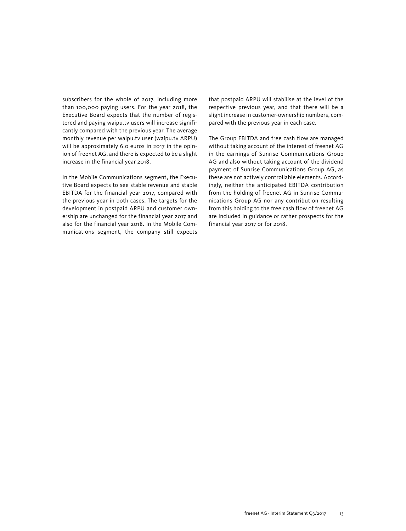subscribers for the whole of 2017, including more than 100,000 paying users. For the year 2018, the Executive Board expects that the number of registered and paying waipu.tv users will increase significantly compared with the previous year. The average monthly revenue per waipu.tv user (waipu.tv ARPU) will be approximately 6.0 euros in 2017 in the opinion of freenet AG, and there is expected to be a slight increase in the financial year 2018.

In the Mobile Communications segment, the Executive Board expects to see stable revenue and stable EBITDA for the financial year 2017, compared with the previous year in both cases. The targets for the development in postpaid ARPU and customer ownership are unchanged for the financial year 2017 and also for the financial year 2018. In the Mobile Communications segment, the company still expects that postpaid ARPU will stabilise at the level of the respective previous year, and that there will be a slight increase in customer-ownership numbers, compared with the previous year in each case.

The Group EBITDA and free cash flow are managed without taking account of the interest of freenet AG in the earnings of Sunrise Communications Group AG and also without taking account of the dividend payment of Sunrise Communications Group AG, as these are not actively controllable elements. Accordingly, neither the anticipated EBITDA contribution from the holding of freenet AG in Sunrise Communications Group AG nor any contribution resulting from this holding to the free cash flow of freenet AG are included in guidance or rather prospects for the financial year 2017 or for 2018.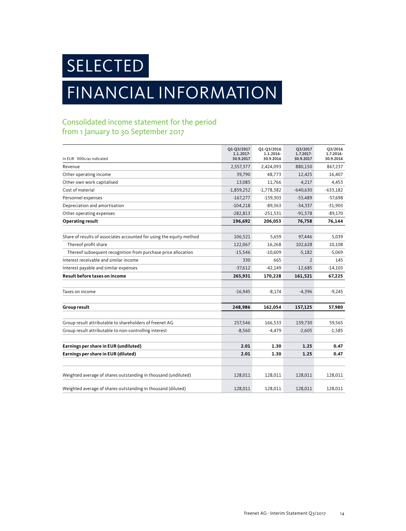SELECTED

## FINANCIAL INFORMATION

## Consolidated income statement for the period from 1 January to 30 September 2017

| In EUR `000s/as indicated                                            | Q1-Q3/2017<br>1.1.2017-<br>30.9.2017 | Q1-Q3/2016<br>1.1.2016-<br>30.9.2016 | Q3/2017<br>1.7.2017-<br>30.9.2017 | Q3/2016<br>1.7.2016-<br>30.9.2016 |
|----------------------------------------------------------------------|--------------------------------------|--------------------------------------|-----------------------------------|-----------------------------------|
| Revenue                                                              | 2,557,377                            | 2,424,093                            | 880,150                           | 867,237                           |
| Other operating income                                               | 39,790                               | 48,773                               | 12,425                            | 16,407                            |
| Other own work capitalised                                           | 13,085                               | 11,766                               | 4,217                             | 4,453                             |
| Cost of material                                                     | $-1,859,252$                         | $-1,778,382$                         | $-640,630$                        | $-633,182$                        |
| Personnel expenses                                                   | $-167,277$                           | $-159,303$                           | $-53,489$                         | $-57,698$                         |
| Depreciation and amortisation                                        | $-104,218$                           | $-89,363$                            | $-34,337$                         | $-31,903$                         |
| Other operating expenses                                             | $-282,813$                           | $-251,531$                           | $-91,578$                         | $-89,170$                         |
| <b>Operating result</b>                                              | 196,692                              | 206,053                              | 76,758                            | 76,144                            |
| Share of results of associates accounted for using the equity method | 106,521                              | 5,659                                | 97,446                            | 5,039                             |
| Thereof profit share                                                 | 122,067                              | 16,268                               | 102,628                           | 10,108                            |
| Thereof subsequent recognition from purchase price allocation        | $-15,546$                            | $-10,609$                            | $-5,182$                          | $-5,069$                          |
| Interest receivable and similar income                               | 330                                  | 665                                  | $\overline{2}$                    | 145                               |
| Interest payable and similar expenses                                | $-37,612$                            | $-42,149$                            | $-12,685$                         | $-14,103$                         |
| Result before taxes on income                                        | 265,931                              | 170,228                              | 161,521                           | 67,225                            |
| Taxes on income                                                      | $-16,945$                            | $-8,174$                             | $-4,396$                          | $-9,245$                          |
| Group result                                                         | 248,986                              | 162,054                              | 157,125                           | 57,980                            |
| Group result attributable to shareholders of freenet AG              | 257,546                              | 166,533                              | 159,730                           | 59,565                            |
| Group result attributable to non-controlling interest                | $-8,560$                             | $-4,479$                             | $-2,605$                          | $-1,585$                          |
| Earnings per share in EUR (undiluted)                                | 2.01                                 | 1.30                                 | 1.25                              | 0.47                              |
| Earnings per share in EUR (diluted)                                  | 2.01                                 | 1.30                                 | 1.25                              | 0.47                              |
| Weighted average of shares outstanding in thousand (undiluted)       | 128,011                              | 128,011                              | 128,011                           | 128,011                           |
| Weighted average of shares outstanding in thousand (diluted)         | 128,011                              | 128,011                              | 128,011                           | 128,011                           |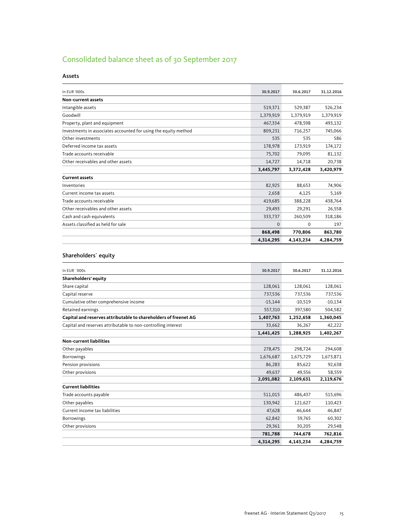## Consolidated balance sheet as of 30 September 2017

#### Assets

| In EUR '000s                                                    | 30.9.2017 | 30.6.2017 | 31.12.2016 |
|-----------------------------------------------------------------|-----------|-----------|------------|
| Non-current assets                                              |           |           |            |
| Intangible assets                                               | 519,371   | 529,387   | 526,234    |
| Goodwill                                                        | 1,379,919 | 1,379,919 | 1,379,919  |
| Property, plant and equipment                                   | 467,334   | 478,598   | 493,132    |
| Investments in associates accounted for using the equity method | 809,231   | 716,257   | 745,066    |
| Other investments                                               | 535       | 535       | 586        |
| Deferred income tax assets                                      | 178,978   | 173,919   | 174,172    |
| Trade accounts receivable                                       | 75,702    | 79,095    | 81,132     |
| Other receivables and other assets                              | 14,727    | 14,718    | 20,738     |
|                                                                 | 3,445,797 | 3,372,428 | 3,420,979  |
| <b>Current assets</b>                                           |           |           |            |
| Inventories                                                     | 82,925    | 88,653    | 74,906     |
| Current income tax assets                                       | 2,658     | 4,125     | 5,169      |
| Trade accounts receivable                                       | 419,685   | 388,228   | 438,764    |
| Other receivables and other assets                              | 29,493    | 29,291    | 26,558     |
| Cash and cash equivalents                                       | 333,737   | 260,509   | 318,186    |
| Assets classified as held for sale                              | $\Omega$  | $\Omega$  | 197        |
|                                                                 | 868,498   | 770,806   | 863,780    |
|                                                                 | 4,314,295 | 4,143,234 | 4,284,759  |

#### Shareholders` equity

| In EUR `000s                                                    | 30.9.2017 | 30.6.2017 | 31.12.2016 |
|-----------------------------------------------------------------|-----------|-----------|------------|
| Shareholders' equity                                            |           |           |            |
| Share capital                                                   | 128,061   | 128,061   | 128,061    |
| Capital reserve                                                 | 737,536   | 737,536   | 737,536    |
| Cumulative other comprehensive income                           | $-15,144$ | $-10,519$ | $-10,134$  |
| Retained earnings                                               | 557,310   | 397,580   | 504,582    |
| Capital and reserves attributable to shareholders of freenet AG | 1,407,763 | 1,252,658 | 1,360,045  |
| Capital and reserves attributable to non-controlling interest   | 33,662    | 36,267    | 42,222     |
|                                                                 | 1,441,425 | 1,288,925 | 1,402,267  |
| <b>Non-current liabilities</b>                                  |           |           |            |
| Other payables                                                  | 278,475   | 298,724   | 294,608    |
| <b>Borrowings</b>                                               | 1,676,687 | 1,675,729 | 1,673,871  |
| Pension provisions                                              | 86,283    | 85,622    | 92,638     |
| Other provisions                                                | 49,637    | 49,556    | 58,559     |
|                                                                 | 2,091,082 | 2,109,631 | 2,119,676  |
| <b>Current liabilities</b>                                      |           |           |            |
| Trade accounts payable                                          | 511,015   | 486,437   | 515,696    |
| Other payables                                                  | 130,942   | 121,627   | 110,423    |
| Current income tax liabilities                                  | 47,628    | 46,644    | 46,847     |
| Borrowings                                                      | 62,842    | 59,765    | 60,302     |
| Other provisions                                                | 29,361    | 30,205    | 29,548     |
|                                                                 | 781,788   | 744,678   | 762,816    |
|                                                                 | 4,314,295 | 4,143,234 | 4,284,759  |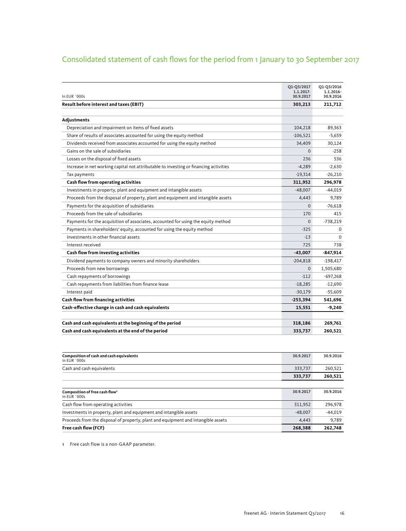## Consolidated statement of cash flows for the period from 1 January to 30 September 2017

| In EUR `000s                                                                          | Q1-Q3/2017<br>1.1.2017-<br>30.9.2017 | Q1-Q3/2016<br>1.1.2016-<br>30.9.2016 |
|---------------------------------------------------------------------------------------|--------------------------------------|--------------------------------------|
| Result before interest and taxes (EBIT)                                               | 303,213                              | 211,712                              |
|                                                                                       |                                      |                                      |
| Adjustments                                                                           |                                      |                                      |
| Depreciation and impairment on items of fixed assets                                  | 104,218                              | 89,363                               |
| Share of results of associates accounted for using the equity method                  | $-106,521$                           | $-5,659$                             |
| Dividends received from associates accounted for using the equity method              | 34,409                               | 30,124                               |
| Gains on the sale of subsidiaries                                                     | $\Omega$                             | $-258$                               |
| Losses on the disposal of fixed assets                                                | 236                                  | 536                                  |
| Increase in net working capital not attributable to investing or financing activities | $-4,289$                             | $-2,630$                             |
| Tax payments                                                                          | $-19,314$                            | $-26.210$                            |
| Cash flow from operating activities                                                   | 311,952                              | 296,978                              |
| Investments in property, plant and equipment and intangible assets                    | $-48,007$                            | $-44,019$                            |
| Proceeds from the disposal of property, plant and equipment and intangible assets     | 4,443                                | 9,789                                |
| Payments for the acquisition of subsidiaries                                          | $\Omega$                             | $-76,618$                            |
| Proceeds from the sale of subsidiaries                                                | 170                                  | 415                                  |
| Payments for the acquisition of associates, accounted for using the equity method     | $\Omega$                             | $-738,219$                           |
| Payments in shareholders' equity, accounted for using the equity method               | $-325$                               | $\Omega$                             |
| Investments in other financial assets                                                 | $-13$                                | $\Omega$                             |
| Interest received                                                                     | 725                                  | 738                                  |
| Cash flow from investing activities                                                   | $-43,007$                            | $-847,914$                           |
| Dividend payments to company owners and minority shareholders                         | $-204,818$                           | $-198,417$                           |
| Proceeds from new borrowings                                                          | $\Omega$                             | 1,505,680                            |
| Cash repayments of borrowings                                                         | $-112$                               | $-697,268$                           |
| Cash repayments from liabilities from finance lease                                   | $-18,285$                            | $-12,690$                            |
| Interest paid                                                                         | $-30,179$                            | $-55,609$                            |
| Cash flow from financing activities                                                   | $-253,394$                           | 541,696                              |
| Cash-effective change in cash and cash equivalents                                    | 15,551                               | $-9,240$                             |
|                                                                                       |                                      |                                      |
| Cash and cash equivalents at the beginning of the period                              | 318,186                              | 269,761                              |
| Cash and cash equivalents at the end of the period                                    | 333,737                              | 260,521                              |

| Composition of cash and cash equivalents<br>In EUR `000s                          | 30.9.2017 | 30.9.2016 |
|-----------------------------------------------------------------------------------|-----------|-----------|
| Cash and cash equivalents                                                         | 333,737   | 260,521   |
|                                                                                   | 333,737   | 260,521   |
|                                                                                   |           |           |
| Composition of free cash flow <sup>1</sup><br>In EUR `000s                        | 30.9.2017 | 30.9.2016 |
| Cash flow from operating activities                                               | 311.952   | 296.978   |
| Investments in property, plant and equipment and intangible assets                | $-48.007$ | $-44.019$ |
| Proceeds from the disposal of property, plant and equipment and intangible assets | 4,443     | 9,789     |
| Free cash flow (FCF)                                                              | 268,388   | 262,748   |

1 Free cash flow is a non-GAAP parameter.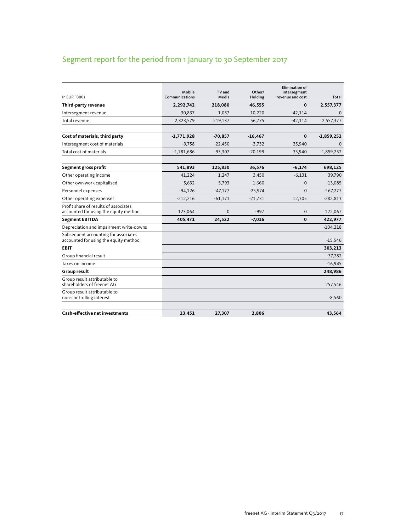## Segment report for the period from 1 January to 30 September 2017

| In EUR `000s                                                                   | Mobile<br>Communications | TV and<br>Media | Other/<br>Holding | <b>Elimination of</b><br>intersegment<br>revenue and cost | Total        |
|--------------------------------------------------------------------------------|--------------------------|-----------------|-------------------|-----------------------------------------------------------|--------------|
| Third-party revenue                                                            | 2,292,742                | 218,080         | 46,555            | $\bf{0}$                                                  | 2,557,377    |
| Intersegment revenue                                                           | 30,837                   | 1.057           | 10,220            | $-42,114$                                                 | $\Omega$     |
| Total revenue                                                                  | 2,323,579                | 219,137         | 56,775            | $-42,114$                                                 | 2,557,377    |
| Cost of materials, third party                                                 | $-1,771,928$             | $-70,857$       | $-16,467$         | $\mathbf 0$                                               | $-1,859,252$ |
| Intersegment cost of materials                                                 | $-9,758$                 | $-22,450$       | $-3,732$          | 35,940                                                    | $\Omega$     |
| Total cost of materials                                                        | $-1,781,686$             | $-93,307$       | $-20,199$         | 35,940                                                    | $-1,859,252$ |
| Segment gross profit                                                           | 541,893                  | 125,830         | 36,576            | $-6,174$                                                  | 698,125      |
| Other operating income                                                         | 41,224                   | 1,247           | 3,450             | $-6,131$                                                  | 39,790       |
| Other own work capitalised                                                     | 5,632                    | 5,793           | 1,660             | $\mathbf{0}$                                              | 13,085       |
| Personnel expenses                                                             | $-94,126$                | $-47,177$       | $-25,974$         | $\mathbf{0}$                                              | $-167,277$   |
| Other operating expenses                                                       | $-212,216$               | $-61,171$       | $-21,731$         | 12,305                                                    | $-282,813$   |
| Profit share of results of associates<br>accounted for using the equity method | 123,064                  | $\mathbf{0}$    | $-997$            | $\Omega$                                                  | 122,067      |
| <b>Segment EBITDA</b>                                                          | 405,471                  | 24,522          | $-7,016$          | $\mathbf{0}$                                              | 422,977      |
| Depreciation and impairment write-downs                                        |                          |                 |                   |                                                           | $-104,218$   |
| Subsequent accounting for associates<br>accounted for using the equity method  |                          |                 |                   |                                                           | $-15,546$    |
| <b>EBIT</b>                                                                    |                          |                 |                   |                                                           | 303,213      |
| Group financial result                                                         |                          |                 |                   |                                                           | $-37,282$    |
| Taxes on income                                                                |                          |                 |                   |                                                           | $-16,945$    |
| <b>Group result</b>                                                            |                          |                 |                   |                                                           | 248,986      |
| Group result attributable to<br>shareholders of freenet AG                     |                          |                 |                   |                                                           | 257,546      |
| Group result attributable to<br>non-controlling interest                       |                          |                 |                   |                                                           | $-8,560$     |
| <b>Cash-effective net investments</b>                                          | 13,451                   | 27,307          | 2,806             |                                                           | 43,564       |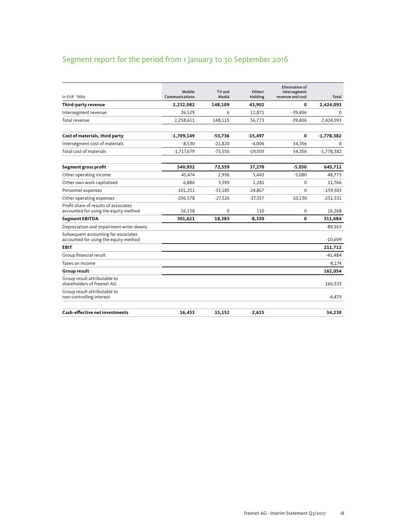## Segment report for the period from 1 January to 30 September 2016

| In EUR `000s                                                                   | Mobile<br>Communications | TV and<br>Media | Other/<br>Holding | <b>Elimination of</b><br>intersegment<br>revenue and cost | Total        |
|--------------------------------------------------------------------------------|--------------------------|-----------------|-------------------|-----------------------------------------------------------|--------------|
| Third-party revenue                                                            | 2,232,082                | 148,109         | 43,902            | 0                                                         | 2,424,093    |
| Intersegment revenue                                                           | 26,529                   | 6               | 12,871            | $-39,406$                                                 | $\Omega$     |
| Total revenue                                                                  | 2,258,611                | 148,115         | 56,773            | $-39,406$                                                 | 2,424,093    |
| Cost of materials, third party                                                 | $-1,709,149$             | $-53,736$       | $-15,497$         | 0                                                         | $-1,778,382$ |
| Intersegment cost of materials                                                 | $-8,530$                 | $-21.820$       | $-4.006$          | 34,356                                                    | $\Omega$     |
| Total cost of materials                                                        | $-1,717,679$             | $-75,556$       | $-19,503$         | 34,356                                                    | $-1,778,382$ |
| Segment gross profit                                                           | 540,932                  | 72,559          | 37,270            | $-5,050$                                                  | 645,711      |
| Other operating income                                                         | 45.474                   | 2,936           | 5,443             | $-5,080$                                                  | 48,773       |
| Other own work capitalised                                                     | 6,886                    | 3,599           | 1,281             | $\mathbf 0$                                               | 11,766       |
| Personnel expenses                                                             | $-101,251$               | $-33,185$       | $-24,867$         | $\mathbf 0$                                               | $-159,303$   |
| Other operating expenses                                                       | $-206,578$               | $-27,526$       | $-27,557$         | 10,130                                                    | $-251,531$   |
| Profit share of results of associates<br>accounted for using the equity method | 16,158                   | 0               | 110               | $\mathbf 0$                                               | 16,268       |
| <b>Segment EBITDA</b>                                                          | 301,621                  | 18,383          | $-8,320$          | 0                                                         | 311,684      |
| Depreciation and impairment write-downs                                        |                          |                 |                   |                                                           | $-89,363$    |
| Subsequent accounting for associates<br>accounted for using the equity method  |                          |                 |                   |                                                           | $-10,609$    |
| <b>EBIT</b>                                                                    |                          |                 |                   |                                                           | 211,712      |
| Group financial result                                                         |                          |                 |                   |                                                           | $-41,484$    |
| Taxes on income                                                                |                          |                 |                   |                                                           | $-8,174$     |
| Group result                                                                   |                          |                 |                   |                                                           | 162,054      |
| Group result attributable to<br>shareholders of freenet AG                     |                          |                 |                   |                                                           | 166,533      |
| Group result attributable to<br>non-controlling interest                       |                          |                 |                   |                                                           | $-4,479$     |
| <b>Cash-effective net investments</b>                                          | 16,453                   | 15,152          | 2,625             |                                                           | 34,230       |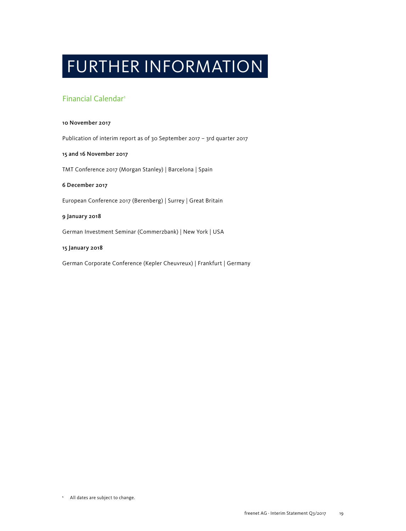## FURTHER INFORMATION

### Financial Calendar1

#### 10 November 2017

Publication of interim report as of 30 September 2017 – 3rd quarter 2017

#### 15 and 16 November 2017

TMT Conference 2017 (Morgan Stanley) | Barcelona | Spain

#### 6 December 2017

European Conference 2017 (Berenberg) | Surrey | Great Britain

### 9 January 2018

German Investment Seminar (Commerzbank) | New York | USA

#### 15 January 2018

German Corporate Conference (Kepler Cheuvreux) | Frankfurt | Germany

**<sup>1</sup>** All dates are subject to change.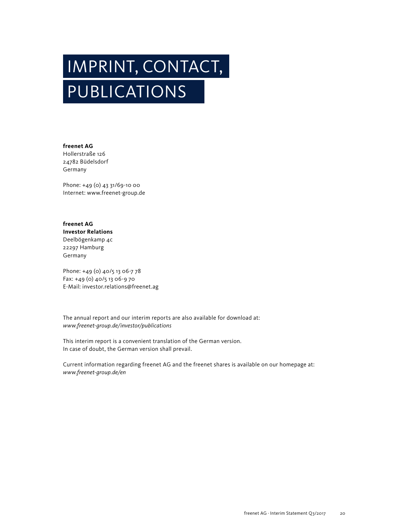# IMPRINT, CONTACT, PUBLICATIONS

**freenet AG** Hollerstraße 126 24782 Büdelsdorf Germany

Phone: +49 (0) 43 31/69-10 00 Internet: www.freenet-group.de

**freenet AG Investor Relations** Deelbögenkamp 4c 22297 Hamburg Germany

Phone: +49 (0) 40/5 13 06-7 78 Fax: +49 (0) 40/5 13 06-9 70 E-Mail: investor.relations@freenet.ag

The annual report and our interim reports are also available for download at: *www.freenet-group.de/investor/publications*

This interim report is a convenient translation of the German version. In case of doubt, the German version shall prevail.

Current information regarding freenet AG and the freenet shares is available on our homepage at: *www.freenet-group.de/en*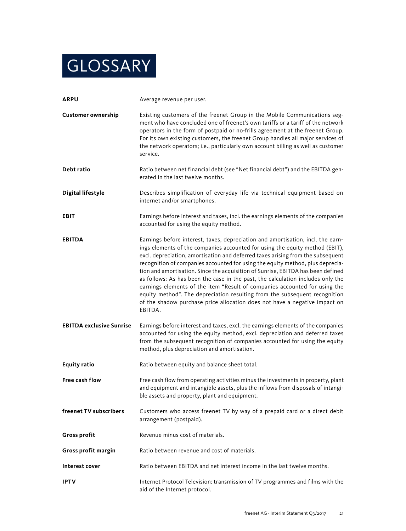## **GLOSSARY**

| <b>ARPU</b>                     | Average revenue per user.                                                                                                                                                                                                                                                                                                                                                                                                                                                                                                                                                                                                                                                                                                                                        |
|---------------------------------|------------------------------------------------------------------------------------------------------------------------------------------------------------------------------------------------------------------------------------------------------------------------------------------------------------------------------------------------------------------------------------------------------------------------------------------------------------------------------------------------------------------------------------------------------------------------------------------------------------------------------------------------------------------------------------------------------------------------------------------------------------------|
| <b>Customer ownership</b>       | Existing customers of the freenet Group in the Mobile Communications seg-<br>ment who have concluded one of freenet's own tariffs or a tariff of the network<br>operators in the form of postpaid or no-frills agreement at the freenet Group.<br>For its own existing customers, the freenet Group handles all major services of<br>the network operators; i.e., particularly own account billing as well as customer<br>service.                                                                                                                                                                                                                                                                                                                               |
| Debt ratio                      | Ratio between net financial debt (see "Net financial debt") and the EBITDA gen-<br>erated in the last twelve months.                                                                                                                                                                                                                                                                                                                                                                                                                                                                                                                                                                                                                                             |
| <b>Digital lifestyle</b>        | Describes simplification of everyday life via technical equipment based on<br>internet and/or smartphones.                                                                                                                                                                                                                                                                                                                                                                                                                                                                                                                                                                                                                                                       |
| EBIT                            | Earnings before interest and taxes, incl. the earnings elements of the companies<br>accounted for using the equity method.                                                                                                                                                                                                                                                                                                                                                                                                                                                                                                                                                                                                                                       |
| <b>EBITDA</b>                   | Earnings before interest, taxes, depreciation and amortisation, incl. the earn-<br>ings elements of the companies accounted for using the equity method (EBIT),<br>excl. depreciation, amortisation and deferred taxes arising from the subsequent<br>recognition of companies accounted for using the equity method, plus deprecia-<br>tion and amortisation. Since the acquisition of Sunrise, EBITDA has been defined<br>as follows: As has been the case in the past, the calculation includes only the<br>earnings elements of the item "Result of companies accounted for using the<br>equity method". The depreciation resulting from the subsequent recognition<br>of the shadow purchase price allocation does not have a negative impact on<br>EBITDA. |
| <b>EBITDA exclusive Sunrise</b> | Earnings before interest and taxes, excl. the earnings elements of the companies<br>accounted for using the equity method, excl. depreciation and deferred taxes<br>from the subsequent recognition of companies accounted for using the equity<br>method, plus depreciation and amortisation.                                                                                                                                                                                                                                                                                                                                                                                                                                                                   |
| <b>Equity ratio</b>             | Ratio between equity and balance sheet total.                                                                                                                                                                                                                                                                                                                                                                                                                                                                                                                                                                                                                                                                                                                    |
| <b>Free cash flow</b>           | Free cash flow from operating activities minus the investments in property, plant<br>and equipment and intangible assets, plus the inflows from disposals of intangi-<br>ble assets and property, plant and equipment.                                                                                                                                                                                                                                                                                                                                                                                                                                                                                                                                           |
| freenet TV subscribers          | Customers who access freenet TV by way of a prepaid card or a direct debit<br>arrangement (postpaid).                                                                                                                                                                                                                                                                                                                                                                                                                                                                                                                                                                                                                                                            |
| <b>Gross profit</b>             | Revenue minus cost of materials.                                                                                                                                                                                                                                                                                                                                                                                                                                                                                                                                                                                                                                                                                                                                 |
| Gross profit margin             | Ratio between revenue and cost of materials.                                                                                                                                                                                                                                                                                                                                                                                                                                                                                                                                                                                                                                                                                                                     |
| Interest cover                  | Ratio between EBITDA and net interest income in the last twelve months.                                                                                                                                                                                                                                                                                                                                                                                                                                                                                                                                                                                                                                                                                          |
| <b>IPTV</b>                     | Internet Protocol Television: transmission of TV programmes and films with the<br>aid of the Internet protocol.                                                                                                                                                                                                                                                                                                                                                                                                                                                                                                                                                                                                                                                  |